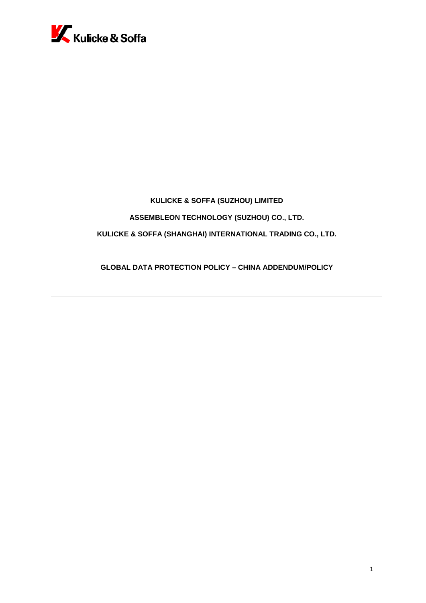

# **KULICKE & SOFFA (SUZHOU) LIMITED ASSEMBLEON TECHNOLOGY (SUZHOU) CO., LTD. KULICKE & SOFFA (SHANGHAI) INTERNATIONAL TRADING CO., LTD.**

**GLOBAL DATA PROTECTION POLICY – CHINA ADDENDUM/POLICY**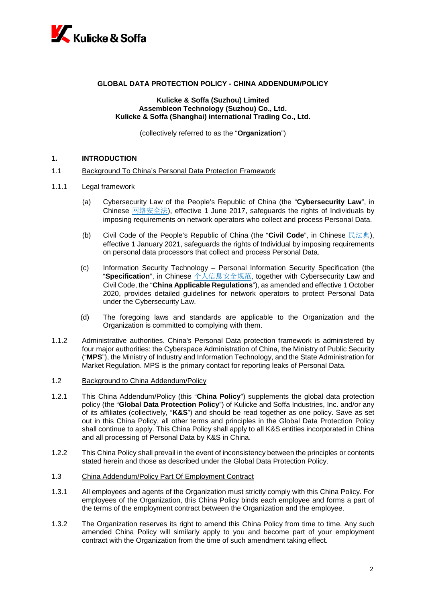

# **GLOBAL DATA PROTECTION POLICY - CHINA ADDENDUM/POLICY**

#### **Kulicke & Soffa (Suzhou) Limited Assembleon Technology (Suzhou) Co., Ltd. Kulicke & Soffa (Shanghai) international Trading Co., Ltd.**

(collectively referred to as the "**Organization**")

### **1. INTRODUCTION**

#### 1.1 Background To China's Personal Data Protection Framework

#### 1.1.1 Legal framework

- (a) Cybersecurity Law of the People's Republic of China (the "**Cybersecurity Law**", in Chinese [网络安全法](https://flk.npc.gov.cn/detail2.html?MmM5MDlmZGQ2NzhiZjE3OTAxNjc4YmY4Mjc2ZjA5M2Q%3D)), effective 1 June 2017, safeguards the rights of Individuals by imposing requirements on network operators who collect and process Personal Data.
- (b) Civil Code of the People's Republic of China (the "**Civil Code**", in Chinese [民法典](https://flk.npc.gov.cn/detail2.html?ZmY4MDgwODE3MjlkMWVmZTAxNzI5ZDUwYjVjNTAwYmY%3D)), effective 1 January 2021, safeguards the rights of Individual by imposing requirements on personal data processors that collect and process Personal Data.
- (c) Information Security Technology Personal Information Security Specification (the "**Specification**", in Chinese [个人信息安全规范](http://c.gb688.cn/bzgk/gb/showGb?type=online&hcno=4568F276E0F8346EB0FBA097AA0CE05E), together with Cybersecurity Law and Civil Code, the "**China Applicable Regulations**"), as amended and effective 1 October 2020, provides detailed guidelines for network operators to protect Personal Data under the Cybersecurity Law.
- (d) The foregoing laws and standards are applicable to the Organization and the Organization is committed to complying with them.
- 1.1.2 Administrative authorities. China's Personal Data protection framework is administered by four major authorities: the Cyberspace Administration of China, the Ministry of Public Security ("**MPS**"), the Ministry of Industry and Information Technology, and the State Administration for Market Regulation. MPS is the primary contact for reporting leaks of Personal Data.
- 1.2 Background to China Addendum/Policy
- 1.2.1 This China Addendum/Policy (this "**China Policy**") supplements the global data protection policy (the "**Global Data Protection Policy**") of Kulicke and Soffa Industries, Inc. and/or any of its affiliates (collectively, "**K&S**") and should be read together as one policy. Save as set out in this China Policy, all other terms and principles in the Global Data Protection Policy shall continue to apply. This China Policy shall apply to all K&S entities incorporated in China and all processing of Personal Data by K&S in China.
- 1.2.2 This China Policy shall prevail in the event of inconsistency between the principles or contents stated herein and those as described under the Global Data Protection Policy.
- 1.3 China Addendum/Policy Part Of Employment Contract
- 1.3.1 All employees and agents of the Organization must strictly comply with this China Policy. For employees of the Organization, this China Policy binds each employee and forms a part of the terms of the employment contract between the Organization and the employee.
- 1.3.2 The Organization reserves its right to amend this China Policy from time to time. Any such amended China Policy will similarly apply to you and become part of your employment contract with the Organization from the time of such amendment taking effect.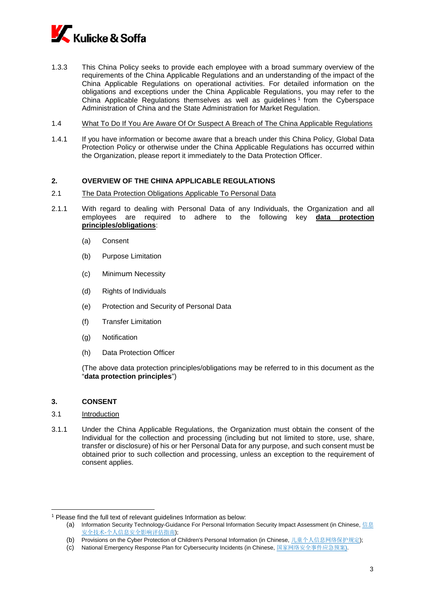

- 1.3.3 This China Policy seeks to provide each employee with a broad summary overview of the requirements of the China Applicable Regulations and an understanding of the impact of the China Applicable Regulations on operational activities. For detailed information on the obligations and exceptions under the China Applicable Regulations, you may refer to the China Applicable Regulations themselves as well as guidelines [1](#page-2-0) from the Cyberspace Administration of China and the State Administration for Market Regulation.
- 1.4 What To Do If You Are Aware Of Or Suspect A Breach of The China Applicable Regulations
- 1.4.1 If you have information or become aware that a breach under this China Policy, Global Data Protection Policy or otherwise under the China Applicable Regulations has occurred within the Organization, please report it immediately to the Data Protection Officer.

### **2. OVERVIEW OF THE CHINA APPLICABLE REGULATIONS**

- 2.1 The Data Protection Obligations Applicable To Personal Data
- 2.1.1 With regard to dealing with Personal Data of any Individuals, the Organization and all employees are required to adhere to the following key **data protection principles/obligations**:
	- (a) Consent
	- (b) Purpose Limitation
	- (c) Minimum Necessity
	- (d) Rights of Individuals
	- (e) Protection and Security of Personal Data
	- (f) Transfer Limitation
	- (g) Notification
	- (h) Data Protection Officer

(The above data protection principles/obligations may be referred to in this document as the "**data protection principles**")

#### **3. CONSENT**

3.1 Introduction

 $\overline{a}$ 

3.1.1 Under the China Applicable Regulations, the Organization must obtain the consent of the Individual for the collection and processing (including but not limited to store, use, share, transfer or disclosure) of his or her Personal Data for any purpose, and such consent must be obtained prior to such collection and processing, unless an exception to the requirement of consent applies.

<span id="page-2-0"></span><sup>1</sup> Please find the full text of relevant guidelines Information as below:

<sup>(</sup>a) Information Security Technology-Guidance For Personal Information Security [Impact Assessment \(in Chinese,](http://c.gb688.cn/bzgk/gb/showGb?type=online&hcno=9EA84C0C3C2DBD3997B23F8E6C8ECA35) 信息 安全技术-[个人信息安全影响评估指南](http://c.gb688.cn/bzgk/gb/showGb?type=online&hcno=9EA84C0C3C2DBD3997B23F8E6C8ECA35));

<sup>(</sup>b) [Provisions on the Cyber Protection of Children's Personal Information \(in Chinese,](http://www.cac.gov.cn/2019-08/23/c_1124913903.htm) 儿童个人信息网络保护规定);

<sup>(</sup>c) [National Emergency Response Plan for Cybersecurity Incidents \(in Chinese,](http://www.cac.gov.cn/2017-06/27/c_1121220113.htm) 国家网络安全事件应急预案).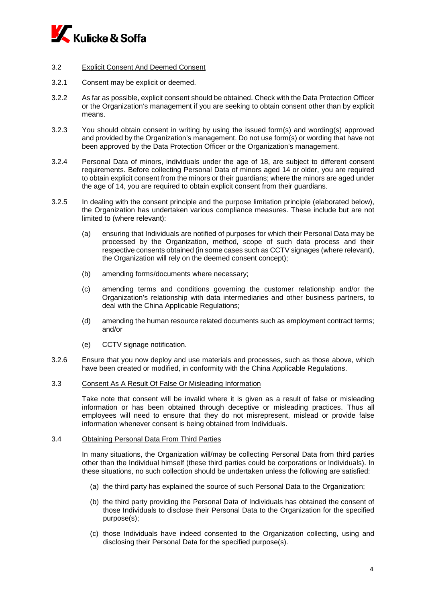

## 3.2 Explicit Consent And Deemed Consent

- 3.2.1 Consent may be explicit or deemed.
- 3.2.2 As far as possible, explicit consent should be obtained. Check with the Data Protection Officer or the Organization's management if you are seeking to obtain consent other than by explicit means.
- 3.2.3 You should obtain consent in writing by using the issued form(s) and wording(s) approved and provided by the Organization's management. Do not use form(s) or wording that have not been approved by the Data Protection Officer or the Organization's management.
- 3.2.4 Personal Data of minors, individuals under the age of 18, are subject to different consent requirements. Before collecting Personal Data of minors aged 14 or older, you are required to obtain explicit consent from the minors or their guardians; where the minors are aged under the age of 14, you are required to obtain explicit consent from their guardians.
- 3.2.5 In dealing with the consent principle and the purpose limitation principle (elaborated below), the Organization has undertaken various compliance measures. These include but are not limited to (where relevant):
	- (a) ensuring that Individuals are notified of purposes for which their Personal Data may be processed by the Organization, method, scope of such data process and their respective consents obtained (in some cases such as CCTV signages (where relevant), the Organization will rely on the deemed consent concept);
	- (b) amending forms/documents where necessary;
	- (c) amending terms and conditions governing the customer relationship and/or the Organization's relationship with data intermediaries and other business partners, to deal with the China Applicable Regulations;
	- (d) amending the human resource related documents such as employment contract terms; and/or
	- (e) CCTV signage notification.
- 3.2.6 Ensure that you now deploy and use materials and processes, such as those above, which have been created or modified, in conformity with the China Applicable Regulations.

#### 3.3 Consent As A Result Of False Or Misleading Information

Take note that consent will be invalid where it is given as a result of false or misleading information or has been obtained through deceptive or misleading practices. Thus all employees will need to ensure that they do not misrepresent, mislead or provide false information whenever consent is being obtained from Individuals.

#### 3.4 Obtaining Personal Data From Third Parties

In many situations, the Organization will/may be collecting Personal Data from third parties other than the Individual himself (these third parties could be corporations or Individuals). In these situations, no such collection should be undertaken unless the following are satisfied:

- (a) the third party has explained the source of such Personal Data to the Organization;
- (b) the third party providing the Personal Data of Individuals has obtained the consent of those Individuals to disclose their Personal Data to the Organization for the specified purpose(s);
- (c) those Individuals have indeed consented to the Organization collecting, using and disclosing their Personal Data for the specified purpose(s).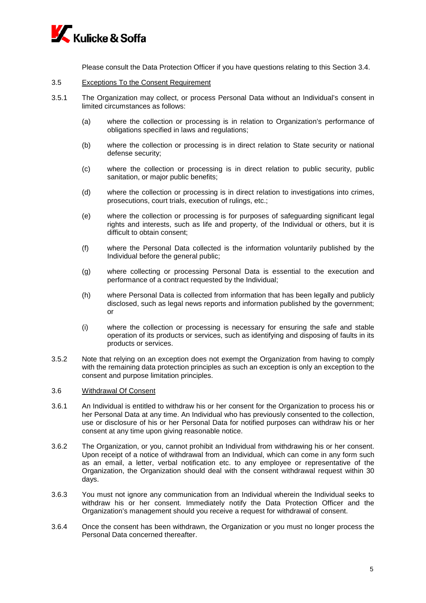

Please consult the Data Protection Officer if you have questions relating to this Section 3.4.

#### 3.5 Exceptions To the Consent Requirement

- 3.5.1 The Organization may collect, or process Personal Data without an Individual's consent in limited circumstances as follows:
	- (a) where the collection or processing is in relation to Organization's performance of obligations specified in laws and regulations;
	- (b) where the collection or processing is in direct relation to State security or national defense security;
	- (c) where the collection or processing is in direct relation to public security, public sanitation, or major public benefits;
	- (d) where the collection or processing is in direct relation to investigations into crimes, prosecutions, court trials, execution of rulings, etc.;
	- (e) where the collection or processing is for purposes of safeguarding significant legal rights and interests, such as life and property, of the Individual or others, but it is difficult to obtain consent;
	- (f) where the Personal Data collected is the information voluntarily published by the Individual before the general public;
	- (g) where collecting or processing Personal Data is essential to the execution and performance of a contract requested by the Individual;
	- (h) where Personal Data is collected from information that has been legally and publicly disclosed, such as legal news reports and information published by the government; or
	- (i) where the collection or processing is necessary for ensuring the safe and stable operation of its products or services, such as identifying and disposing of faults in its products or services.
- 3.5.2 Note that relying on an exception does not exempt the Organization from having to comply with the remaining data protection principles as such an exception is only an exception to the consent and purpose limitation principles.

### 3.6 Withdrawal Of Consent

- 3.6.1 An Individual is entitled to withdraw his or her consent for the Organization to process his or her Personal Data at any time. An Individual who has previously consented to the collection, use or disclosure of his or her Personal Data for notified purposes can withdraw his or her consent at any time upon giving reasonable notice.
- 3.6.2 The Organization, or you, cannot prohibit an Individual from withdrawing his or her consent. Upon receipt of a notice of withdrawal from an Individual, which can come in any form such as an email, a letter, verbal notification etc. to any employee or representative of the Organization, the Organization should deal with the consent withdrawal request within 30 days.
- 3.6.3 You must not ignore any communication from an Individual wherein the Individual seeks to withdraw his or her consent. Immediately notify the Data Protection Officer and the Organization's management should you receive a request for withdrawal of consent.
- 3.6.4 Once the consent has been withdrawn, the Organization or you must no longer process the Personal Data concerned thereafter.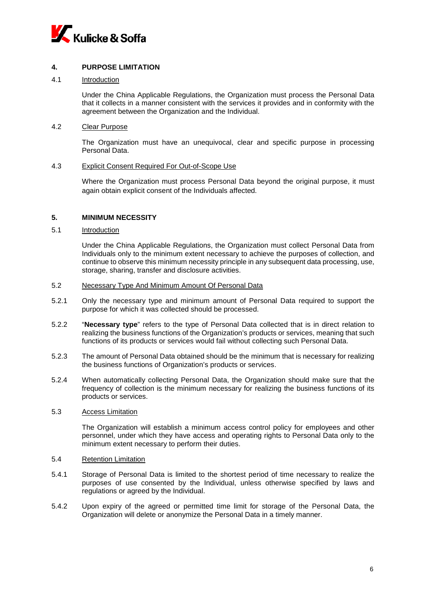

# **4. PURPOSE LIMITATION**

## 4.1 Introduction

Under the China Applicable Regulations, the Organization must process the Personal Data that it collects in a manner consistent with the services it provides and in conformity with the agreement between the Organization and the Individual.

## 4.2 Clear Purpose

The Organization must have an unequivocal, clear and specific purpose in processing Personal Data.

## 4.3 Explicit Consent Required For Out-of-Scope Use

Where the Organization must process Personal Data beyond the original purpose, it must again obtain explicit consent of the Individuals affected.

### **5. MINIMUM NECESSITY**

### 5.1 Introduction

Under the China Applicable Regulations, the Organization must collect Personal Data from Individuals only to the minimum extent necessary to achieve the purposes of collection, and continue to observe this minimum necessity principle in any subsequent data processing, use, storage, sharing, transfer and disclosure activities.

#### 5.2 Necessary Type And Minimum Amount Of Personal Data

- 5.2.1 Only the necessary type and minimum amount of Personal Data required to support the purpose for which it was collected should be processed.
- 5.2.2 "**Necessary type**" refers to the type of Personal Data collected that is in direct relation to realizing the business functions of the Organization's products or services, meaning that such functions of its products or services would fail without collecting such Personal Data.
- 5.2.3 The amount of Personal Data obtained should be the minimum that is necessary for realizing the business functions of Organization's products or services.
- 5.2.4 When automatically collecting Personal Data, the Organization should make sure that the frequency of collection is the minimum necessary for realizing the business functions of its products or services.

#### 5.3 Access Limitation

The Organization will establish a minimum access control policy for employees and other personnel, under which they have access and operating rights to Personal Data only to the minimum extent necessary to perform their duties.

#### 5.4 Retention Limitation

- 5.4.1 Storage of Personal Data is limited to the shortest period of time necessary to realize the purposes of use consented by the Individual, unless otherwise specified by laws and regulations or agreed by the Individual.
- 5.4.2 Upon expiry of the agreed or permitted time limit for storage of the Personal Data, the Organization will delete or anonymize the Personal Data in a timely manner.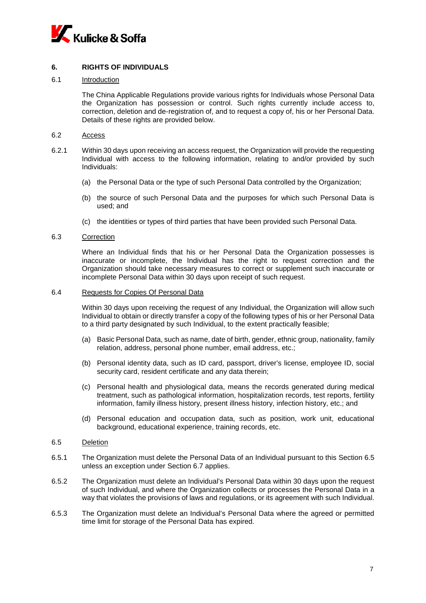

# **6. RIGHTS OF INDIVIDUALS**

### 6.1 Introduction

The China Applicable Regulations provide various rights for Individuals whose Personal Data the Organization has possession or control. Such rights currently include access to, correction, deletion and de-registration of, and to request a copy of, his or her Personal Data. Details of these rights are provided below.

- <span id="page-6-0"></span>6.2 Access
- 6.2.1 Within 30 days upon receiving an access request, the Organization will provide the requesting Individual with access to the following information, relating to and/or provided by such Individuals:
	- (a) the Personal Data or the type of such Personal Data controlled by the Organization;
	- (b) the source of such Personal Data and the purposes for which such Personal Data is used; and
	- (c) the identities or types of third parties that have been provided such Personal Data.

### 6.3 Correction

Where an Individual finds that his or her Personal Data the Organization possesses is inaccurate or incomplete, the Individual has the right to request correction and the Organization should take necessary measures to correct or supplement such inaccurate or incomplete Personal Data within 30 days upon receipt of such request.

#### 6.4 Requests for Copies Of Personal Data

Within 30 days upon receiving the request of any Individual, the Organization will allow such Individual to obtain or directly transfer a copy of the following types of his or her Personal Data to a third party designated by such Individual, to the extent practically feasible;

- (a) Basic Personal Data, such as name, date of birth, gender, ethnic group, nationality, family relation, address, personal phone number, email address, etc.;
- (b) Personal identity data, such as ID card, passport, driver's license, employee ID, social security card, resident certificate and any data therein;
- (c) Personal health and physiological data, means the records generated during medical treatment, such as pathological information, hospitalization records, test reports, fertility information, family illness history, present illness history, infection history, etc.; and
- (d) Personal education and occupation data, such as position, work unit, educational background, educational experience, training records, etc.
- 6.5 Deletion
- 6.5.1 The Organization must delete the Personal Data of an Individual pursuant to this Section 6.5 unless an exception under Section 6.7 applies.
- 6.5.2 The Organization must delete an Individual's Personal Data within 30 days upon the request of such Individual, and where the Organization collects or processes the Personal Data in a way that violates the provisions of laws and regulations, or its agreement with such Individual.
- 6.5.3 The Organization must delete an Individual's Personal Data where the agreed or permitted time limit for storage of the Personal Data has expired.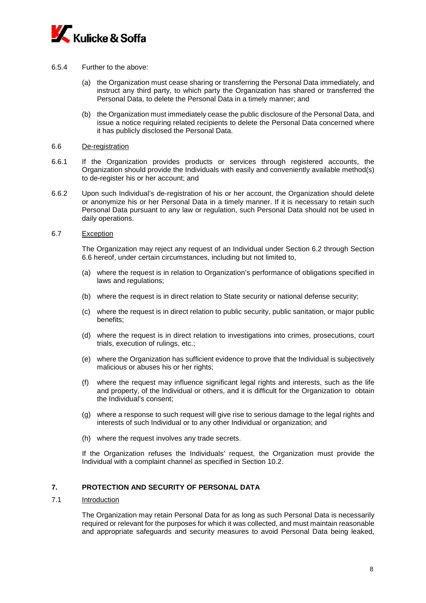

- 6.5.4 Further to the above:
	- (a) the Organization must cease sharing or transferring the Personal Data immediately, and instruct any third party, to which party the Organization has shared or transferred the Personal Data, to delete the Personal Data in a timely manner; and
	- (b) the Organization must immediately cease the public disclosure of the Personal Data, and issue a notice requiring related recipients to delete the Personal Data concerned where it has publicly disclosed the Personal Data.

#### <span id="page-7-0"></span>6.6 De-registration

- 6.6.1 If the Organization provides products or services through registered accounts, the Organization should provide the Individuals with easily and conveniently available method(s) to de-register his or her account; and
- 6.6.2 Upon such Individual's de-registration of his or her account, the Organization should delete or anonymize his or her Personal Data in a timely manner. If it is necessary to retain such Personal Data pursuant to any law or regulation, such Personal Data should not be used in daily operations.
- 6.7 Exception

The Organization may reject any request of an Individual under Section [6.2](#page-6-0) through Section [6.6](#page-7-0) hereof, under certain circumstances, including but not limited to,

- (a) where the request is in relation to Organization's performance of obligations specified in laws and regulations;
- (b) where the request is in direct relation to State security or national defense security;
- (c) where the request is in direct relation to public security, public sanitation, or major public benefits;
- (d) where the request is in direct relation to investigations into crimes, prosecutions, court trials, execution of rulings, etc.;
- (e) where the Organization has sufficient evidence to prove that the Individual is subjectively malicious or abuses his or her rights;
- (f) where the request may influence significant legal rights and interests, such as the life and property, of the Individual or others, and it is difficult for the Organization to obtain the Individual's consent;
- (g) where a response to such request will give rise to serious damage to the legal rights and interests of such Individual or to any other Individual or organization; and
- (h) where the request involves any trade secrets.

If the Organization refuses the Individuals' request, the Organization must provide the Individual with a complaint channel as specified in Section [10.2.](#page-10-0)

# **7. PROTECTION AND SECURITY OF PERSONAL DATA**

## 7.1 Introduction

The Organization may retain Personal Data for as long as such Personal Data is necessarily required or relevant for the purposes for which it was collected, and must maintain reasonable and appropriate safeguards and security measures to avoid Personal Data being leaked,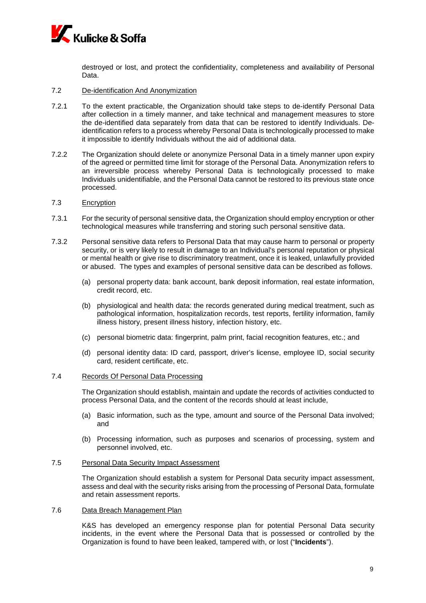

destroyed or lost, and protect the confidentiality, completeness and availability of Personal Data.

- 7.2 De-identification And Anonymization
- 7.2.1 To the extent practicable, the Organization should take steps to de-identify Personal Data after collection in a timely manner, and take technical and management measures to store the de-identified data separately from data that can be restored to identify Individuals. Deidentification refers to a process whereby Personal Data is technologically processed to make it impossible to identify Individuals without the aid of additional data.
- 7.2.2 The Organization should delete or anonymize Personal Data in a timely manner upon expiry of the agreed or permitted time limit for storage of the Personal Data. Anonymization refers to an irreversible process whereby Personal Data is technologically processed to make Individuals unidentifiable, and the Personal Data cannot be restored to its previous state once processed.
- 7.3 Encryption
- 7.3.1 For the security of personal sensitive data, the Organization should employ encryption or other technological measures while transferring and storing such personal sensitive data.
- 7.3.2 Personal sensitive data refers to Personal Data that may cause harm to personal or property security, or is very likely to result in damage to an Individual's personal reputation or physical or mental health or give rise to discriminatory treatment, once it is leaked, unlawfully provided or abused. The types and examples of personal sensitive data can be described as follows.
	- (a) personal property data: bank account, bank deposit information, real estate information, credit record, etc.
	- (b) physiological and health data: the records generated during medical treatment, such as pathological information, hospitalization records, test reports, fertility information, family illness history, present illness history, infection history, etc.
	- (c) personal biometric data: fingerprint, palm print, facial recognition features, etc.; and
	- (d) personal identity data: ID card, passport, driver's license, employee ID, social security card, resident certificate, etc.

#### 7.4 Records Of Personal Data Processing

The Organization should establish, maintain and update the records of activities conducted to process Personal Data, and the content of the records should at least include,

- (a) Basic information, such as the type, amount and source of the Personal Data involved; and
- (b) Processing information, such as purposes and scenarios of processing, system and personnel involved, etc.

#### 7.5 Personal Data Security Impact Assessment

The Organization should establish a system for Personal Data security impact assessment, assess and deal with the security risks arising from the processing of Personal Data, formulate and retain assessment reports.

#### 7.6 Data Breach Management Plan

K&S has developed an emergency response plan for potential Personal Data security incidents, in the event where the Personal Data that is possessed or controlled by the Organization is found to have been leaked, tampered with, or lost ("**Incidents**").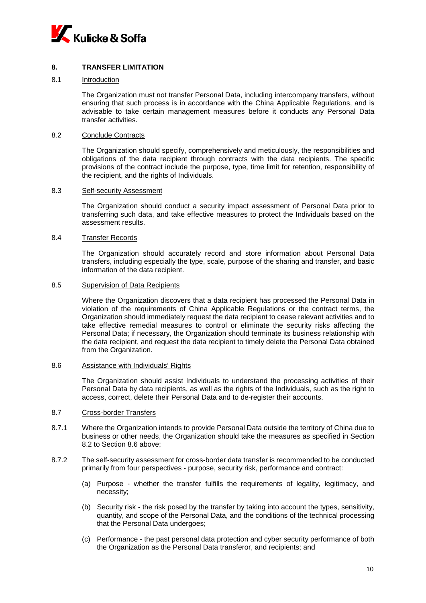

# **8. TRANSFER LIMITATION**

## 8.1 Introduction

The Organization must not transfer Personal Data, including intercompany transfers, without ensuring that such process is in accordance with the China Applicable Regulations, and is advisable to take certain management measures before it conducts any Personal Data transfer activities.

#### 8.2 Conclude Contracts

The Organization should specify, comprehensively and meticulously, the responsibilities and obligations of the data recipient through contracts with the data recipients. The specific provisions of the contract include the purpose, type, time limit for retention, responsibility of the recipient, and the rights of Individuals.

#### 8.3 Self-security Assessment

The Organization should conduct a security impact assessment of Personal Data prior to transferring such data, and take effective measures to protect the Individuals based on the assessment results.

#### 8.4 Transfer Records

The Organization should accurately record and store information about Personal Data transfers, including especially the type, scale, purpose of the sharing and transfer, and basic information of the data recipient.

#### 8.5 Supervision of Data Recipients

Where the Organization discovers that a data recipient has processed the Personal Data in violation of the requirements of China Applicable Regulations or the contract terms, the Organization should immediately request the data recipient to cease relevant activities and to take effective remedial measures to control or eliminate the security risks affecting the Personal Data; if necessary, the Organization should terminate its business relationship with the data recipient, and request the data recipient to timely delete the Personal Data obtained from the Organization.

#### 8.6 Assistance with Individuals' Rights

The Organization should assist Individuals to understand the processing activities of their Personal Data by data recipients, as well as the rights of the Individuals, such as the right to access, correct, delete their Personal Data and to de-register their accounts.

## 8.7 Cross-border Transfers

- 8.7.1 Where the Organization intends to provide Personal Data outside the territory of China due to business or other needs, the Organization should take the measures as specified in Section 8.2 to Section 8.6 above;
- 8.7.2 The self-security assessment for cross-border data transfer is recommended to be conducted primarily from four perspectives - purpose, security risk, performance and contract:
	- (a) Purpose whether the transfer fulfills the requirements of legality, legitimacy, and necessity;
	- (b) Security risk the risk posed by the transfer by taking into account the types, sensitivity, quantity, and scope of the Personal Data, and the conditions of the technical processing that the Personal Data undergoes;
	- (c) Performance the past personal data protection and cyber security performance of both the Organization as the Personal Data transferor, and recipients; and